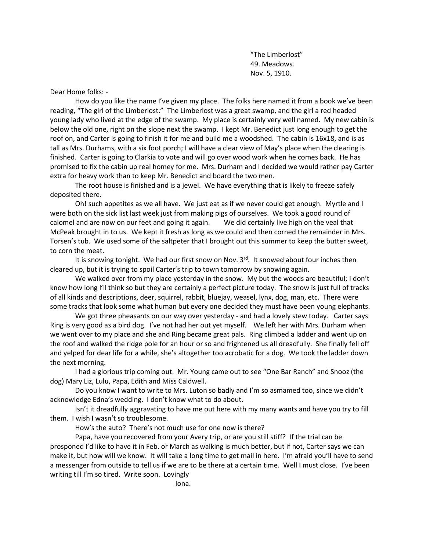"The Limberlost" 49. Meadows. Nov. 5, 1910.

Dear Home folks: -

How do you like the name I've given my place. The folks here named it from a book we've been reading, "The girl of the Limberlost." The Limberlost was a great swamp, and the girl a red headed young lady who lived at the edge of the swamp. My place is certainly very well named. My new cabin is below the old one, right on the slope next the swamp. I kept Mr. Benedict just long enough to get the roof on, and Carter is going to finish it for me and build me a woodshed. The cabin is 16x18, and is as tall as Mrs. Durhams, with a six foot porch; I will have a clear view of May's place when the clearing is finished. Carter is going to Clarkia to vote and will go over wood work when he comes back. He has promised to fix the cabin up real homey for me. Mrs. Durham and I decided we would rather pay Carter extra for heavy work than to keep Mr. Benedict and board the two men.

The root house is finished and is a jewel. We have everything that is likely to freeze safely deposited there.

Oh! such appetites as we all have. We just eat as if we never could get enough. Myrtle and I were both on the sick list last week just from making pigs of ourselves. We took a good round of calomel and are now on our feet and going it again. We did certainly live high on the veal that McPeak brought in to us. We kept it fresh as long as we could and then corned the remainder in Mrs. Torsen's tub. We used some of the saltpeter that I brought out this summer to keep the butter sweet, to corn the meat.

It is snowing tonight. We had our first snow on Nov. 3<sup>rd</sup>. It snowed about four inches then cleared up, but it is trying to spoil Carter's trip to town tomorrow by snowing again.

We walked over from my place yesterday in the snow. My but the woods are beautiful; I don't know how long I'll think so but they are certainly a perfect picture today. The snow is just full of tracks of all kinds and descriptions, deer, squirrel, rabbit, bluejay, weasel, lynx, dog, man, etc. There were some tracks that look some what human but every one decided they must have been young elephants.

We got three pheasants on our way over yesterday - and had a lovely stew today. Carter says Ring is very good as a bird dog. I've not had her out yet myself. We left her with Mrs. Durham when we went over to my place and she and Ring became great pals. Ring climbed a ladder and went up on the roof and walked the ridge pole for an hour or so and frightened us all dreadfully. She finally fell off and yelped for dear life for a while, she's altogether too acrobatic for a dog. We took the ladder down the next morning.

I had a glorious trip coming out. Mr. Young came out to see "One Bar Ranch" and Snooz (the dog) Mary Liz, Lulu, Papa, Edith and Miss Caldwell.

Do you know I want to write to Mrs. Luton so badly and I'm so asmamed too, since we didn't acknowledge Edna's wedding. I don't know what to do about.

Isn't it dreadfully aggravating to have me out here with my many wants and have you try to fill them. I wish I wasn't so troublesome.

How's the auto? There's not much use for one now is there?

Papa, have you recovered from your Avery trip, or are you still stiff? If the trial can be prosponed I'd like to have it in Feb. or March as walking is much better, but if not, Carter says we can make it, but how will we know. It will take a long time to get mail in here. I'm afraid you'll have to send a messenger from outside to tell us if we are to be there at a certain time. Well I must close. I've been writing till I'm so tired. Write soon. Lovingly

Iona.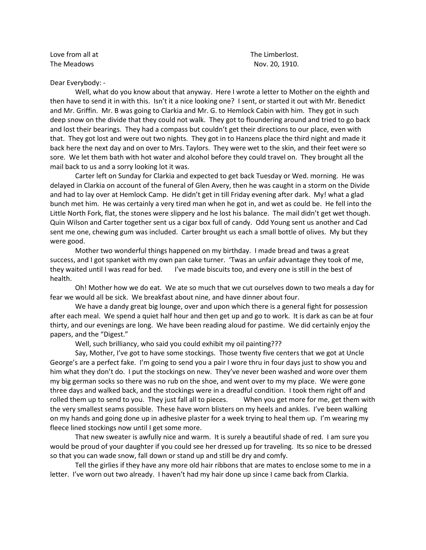Love from all at  $\qquad \qquad$  Love from all at The Meadows **Nov.** 20, 1910.

Dear Everybody: -

Well, what do you know about that anyway. Here I wrote a letter to Mother on the eighth and then have to send it in with this. Isn't it a nice looking one? I sent, or started it out with Mr. Benedict and Mr. Griffin. Mr. B was going to Clarkia and Mr. G. to Hemlock Cabin with him. They got in such deep snow on the divide that they could not walk. They got to floundering around and tried to go back and lost their bearings. They had a compass but couldn't get their directions to our place, even with that. They got lost and were out two nights. They got in to Hanzens place the third night and made it back here the next day and on over to Mrs. Taylors. They were wet to the skin, and their feet were so sore. We let them bath with hot water and alcohol before they could travel on. They brought all the mail back to us and a sorry looking lot it was.

Carter left on Sunday for Clarkia and expected to get back Tuesday or Wed. morning. He was delayed in Clarkia on account of the funeral of Glen Avery, then he was caught in a storm on the Divide and had to lay over at Hemlock Camp. He didn't get in till Friday evening after dark. My! what a glad bunch met him. He was certainly a very tired man when he got in, and wet as could be. He fell into the Little North Fork, flat, the stones were slippery and he lost his balance. The mail didn't get wet though. Quin Wilson and Carter together sent us a cigar box full of candy. Odd Young sent us another and Cad sent me one, chewing gum was included. Carter brought us each a small bottle of olives. My but they were good.

Mother two wonderful things happened on my birthday. I made bread and twas a great success, and I got spanket with my own pan cake turner. 'Twas an unfair advantage they took of me, they waited until I was read for bed. I've made biscuits too, and every one is still in the best of health.

Oh! Mother how we do eat. We ate so much that we cut ourselves down to two meals a day for fear we would all be sick. We breakfast about nine, and have dinner about four.

We have a dandy great big lounge, over and upon which there is a general fight for possession after each meal. We spend a quiet half hour and then get up and go to work. It is dark as can be at four thirty, and our evenings are long. We have been reading aloud for pastime. We did certainly enjoy the papers, and the "Digest."

Well, such brilliancy, who said you could exhibit my oil painting???

Say, Mother, I've got to have some stockings. Those twenty five centers that we got at Uncle George's are a perfect fake. I'm going to send you a pair I wore thru in four days just to show you and him what they don't do. I put the stockings on new. They've never been washed and wore over them my big german socks so there was no rub on the shoe, and went over to my my place. We were gone three days and walked back, and the stockings were in a dreadful condition. I took them right off and rolled them up to send to you. They just fall all to pieces. When you get more for me, get them with the very smallest seams possible. These have worn blisters on my heels and ankles. I've been walking on my hands and going done up in adhesive plaster for a week trying to heal them up. I'm wearing my fleece lined stockings now until I get some more.

That new sweater is awfully nice and warm. It is surely a beautiful shade of red. I am sure you would be proud of your daughter if you could see her dressed up for traveling. Its so nice to be dressed so that you can wade snow, fall down or stand up and still be dry and comfy.

Tell the girlies if they have any more old hair ribbons that are mates to enclose some to me in a letter. I've worn out two already. I haven't had my hair done up since I came back from Clarkia.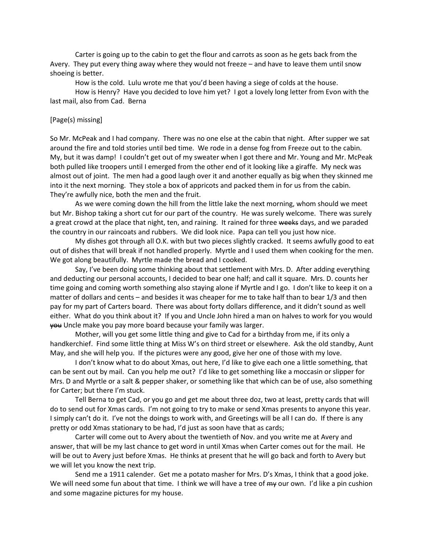Carter is going up to the cabin to get the flour and carrots as soon as he gets back from the Avery. They put every thing away where they would not freeze – and have to leave them until snow shoeing is better.

How is the cold. Lulu wrote me that you'd been having a siege of colds at the house.

How is Henry? Have you decided to love him yet? I got a lovely long letter from Evon with the last mail, also from Cad. Berna

## [Page(s) missing]

So Mr. McPeak and I had company. There was no one else at the cabin that night. After supper we sat around the fire and told stories until bed time. We rode in a dense fog from Freeze out to the cabin. My, but it was damp! I couldn't get out of my sweater when I got there and Mr. Young and Mr. McPeak both pulled like troopers until I emerged from the other end of it looking like a giraffe. My neck was almost out of joint. The men had a good laugh over it and another equally as big when they skinned me into it the next morning. They stole a box of appricots and packed them in for us from the cabin. They're awfully nice, both the men and the fruit.

As we were coming down the hill from the little lake the next morning, whom should we meet but Mr. Bishop taking a short cut for our part of the country. He was surely welcome. There was surely a great crowd at the place that night, ten, and raining. It rained for three weeks days, and we paraded the country in our raincoats and rubbers. We did look nice. Papa can tell you just how nice.

My dishes got through all O.K. with but two pieces slightly cracked. It seems awfully good to eat out of dishes that will break if not handled properly. Myrtle and I used them when cooking for the men. We got along beautifully. Myrtle made the bread and I cooked.

Say, I've been doing some thinking about that settlement with Mrs. D. After adding everything and deducting our personal accounts, I decided to bear one half; and call it square. Mrs. D. counts her time going and coming worth something also staying alone if Myrtle and I go. I don't like to keep it on a matter of dollars and cents – and besides it was cheaper for me to take half than to bear 1/3 and then pay for my part of Carters board. There was about forty dollars difference, and it didn't sound as well either. What do you think about it? If you and Uncle John hired a man on halves to work for you would you Uncle make you pay more board because your family was larger.

Mother, will you get some little thing and give to Cad for a birthday from me, if its only a handkerchief. Find some little thing at Miss W's on third street or elsewhere. Ask the old standby, Aunt May, and she will help you. If the pictures were any good, give her one of those with my love.

I don't know what to do about Xmas, out here, I'd like to give each one a little something, that can be sent out by mail. Can you help me out? I'd like to get something like a moccasin or slipper for Mrs. D and Myrtle or a salt & pepper shaker, or something like that which can be of use, also something for Carter; but there I'm stuck.

Tell Berna to get Cad, or you go and get me about three doz, two at least, pretty cards that will do to send out for Xmas cards. I'm not going to try to make or send Xmas presents to anyone this year. I simply can't do it. I've not the doings to work with, and Greetings will be all I can do. If there is any pretty or odd Xmas stationary to be had, I'd just as soon have that as cards;

Carter will come out to Avery about the twentieth of Nov. and you write me at Avery and answer, that will be my last chance to get word in until Xmas when Carter comes out for the mail. He will be out to Avery just before Xmas. He thinks at present that he will go back and forth to Avery but we will let you know the next trip.

Send me a 1911 calender. Get me a potato masher for Mrs. D's Xmas, I think that a good joke. We will need some fun about that time. I think we will have a tree of  $m<sub>y</sub>$  our own. I'd like a pin cushion and some magazine pictures for my house.